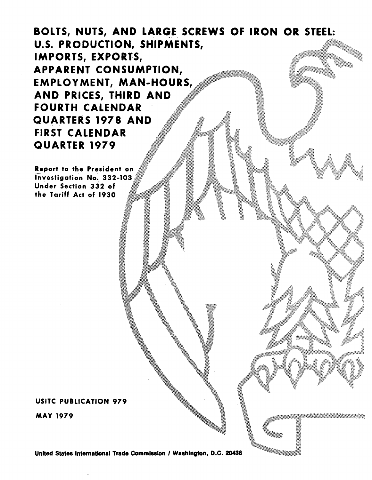BOLTS, NUTS, AND LARGE SCREWS OF IRON OR STEEL: U.S. PRODUCTION, SHIPMENTS, IMPORTS, EXPORTS, APPARENT CONSUMPTION, EMPLOYMENT, MAN-HOURS, AND PRICES, THIRD AND FOURTH CALENDAR QUARTERS 1978 AND FIRST CALENDAR QUARTER 1979

Report to the President on Investigation No. 332-103 Under Section 332 of the Tariff Act of 1930

### USITC PUBLICATION 979

MAY 1979

United States International Trade Commission / Washington, D.C. 20436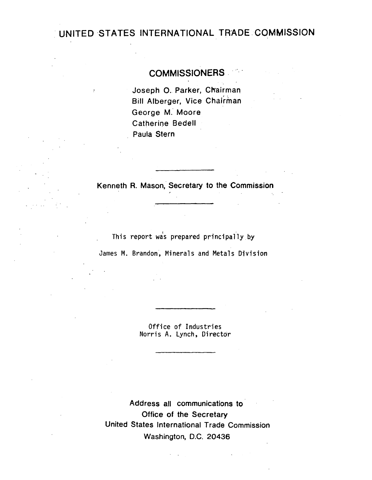### UNITED STATES INTERNATIONAL TRADE COMMISSION

## **COMMISSIONERS**

Joseph O. Parker, Chairman Bill Alberger, Vice Chairman George M.' Moore Catherine Bedell Paula Stern

 $\pmb{\cdot}$ 

Kenneth R. Mason, Secretary to the Commission

This report was prepared principally by

James M. Brandon, Minerals and Metals Division

Office of Industries Norris A. Lynch, Director

Address all communications to Office of the Secretary United States International Trade Commission Washington, D.C. 20436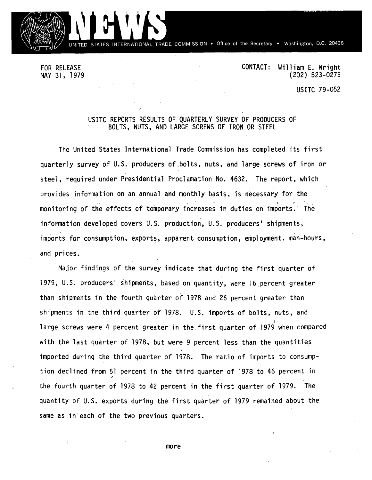UNITED STATES INTERNATIONAL TRADE COMMISSION . Office of the Secretary . Washington, D.C. 20436

FOR RELEASE MAY 31, 1979 CONTACT: William E. Wright (202) 523-0275

USITC 79-052

#### USITC REPORTS RESULTS OF QUARTERLY SURVEY OF PRODUCERS OF BOLTS, NUTS, AND LARGE SCREWS OF IRON OR STEEL

The United States International Trade Commission has completed its first quarterly survey of U.S. producers of bolts, nuts, and large screws of iron or steel, required under Presidential Proclamation No. 4632. The report, which provides information on an annual and monthly basis, is necessary for the monitoring of the effects of temporary increases in duties on imports. The information developed covers U.S. production, U.S. producers' shipments, imports for consumption, exports, apparent consumption, employment, man-hours, and prices.

Major findings of the survey indicate that during the first quarter of 1979, U.S. producers' shipments, based on quantity, were 16 percent greater than shipments in the fourth quarter of 1978 and 26 percent greater than shipments in the third quarter of 1978. U.S. imports of bolts, nuts, and large screws were 4 percent greater in the first quarter of 1979 when compared with the last quarter of 1978, but were 9 percent less than the quantities imported during the third quarter of 1978. The ratio of imports to consumption declined from 51 percent in the third quarter of 1978 to 46 percent in the fourth quarter of 1978 to 42 percent in the first quarter of 1979. The quantity of U.S~ exports during the first quarter of 1979 remained about the same as in·each of the two previous quarters.

more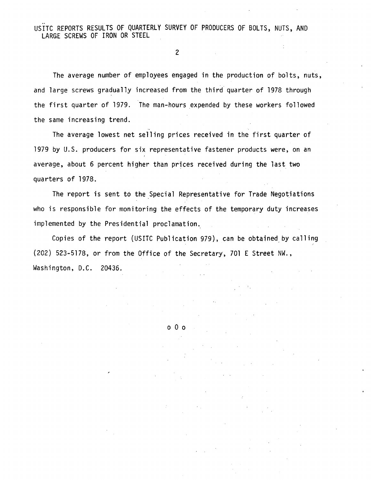2

The average number of employees engaged in the production of bolts, nuts, and large screws gradually increased from the third quarter of 1978 through the first quarter of 1979. The man-hours expended by these workers followed the same increasing trend.

The average lowest net selling prices received in the first quarter of 1979 by U.S. producers for six representative fastener products were, on an average, about 6 percent higher than prices received during the last two quarters of 1978.

..

The report is sent to the Special Representative for Trade Negotiations who is responsible for monitoring the effects of the temporary duty increases implemented by the Presidential proclamation.

Copies of the report (USITC Publication 979), can be obtained by calling (202) 523-5178, or from the Office of the Secretary, 701 E Street NW., Washington, D.C. 20436.

0 0 0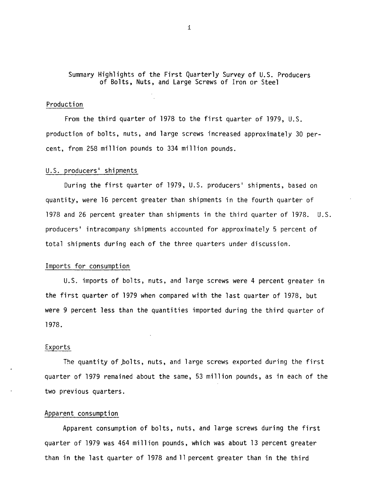Summary Highlights of the First Quarterly Survey of U.S. Producers of Bolts, Nuts, and Large Screws of Iron or Steel

#### Production

From the third quarter of 1978 to the first quarter of 1979, U.S. production of bolts, nuts, and large screws increased approximately 30 percent, from 258 million pounds to 334 million pounds.

#### U.S. producers' shipments

During the first quarter of 1979, U.S. producers' shipments, based on quantity, were 16 percent greater than shipments in the fourth quarter of 1978 and 26 percent greater than shipments in the third quarter of 1978. U.S. producers' intracompany shipments accounted for approximately 5 percent of total shipments during each of the three quarters under discussion.

#### Imports for consumption

U.S. imports of bolts, nuts, and large screws were 4 percent greater in the first quarter of 1979 when compared with the last quarter of 1978, but were 9 percent less than the quantities imported during the third quarter of 1978.

#### Exports

The quantity of bolts, nuts, and large screws exported during the first quarter of 1979 remained about the same, 53 million pounds, as in each of the two previous quarters.

#### Apparent consumption

Apparent consumption of bolts, nuts, and large screws during the first quarter of 1979 was 464 million pounds, which was about 13 percent greater than in the last quarter of 1978 and 11 percent greater than in the third

i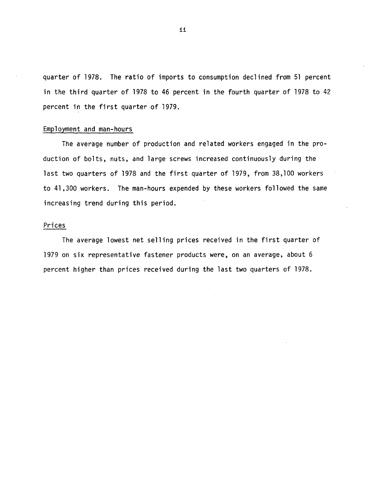quarter of 1978. The ratio of imports to consumption declined from 51 percent in the third quarter of 1978 to 46 percent in the fourth quarter of 1978 to 42 percent in the first quarter-of 1979.

#### Employment and man-hours

The average number of production and related workers engaged in the production of bolts, nuts, and large screws increased continuously during the last two quarters of 1978 and the first quarter of 1979, from 38,100 workers to 41,300 workers. The man-hours expended by these workers followed the same increasing trend during this period.

#### Prices

The average lowest net selling prices received in the first quarter of 1979 on six representative fastener products were, on an average, about 6 percent higher than prices received during the last two quarters of 1978.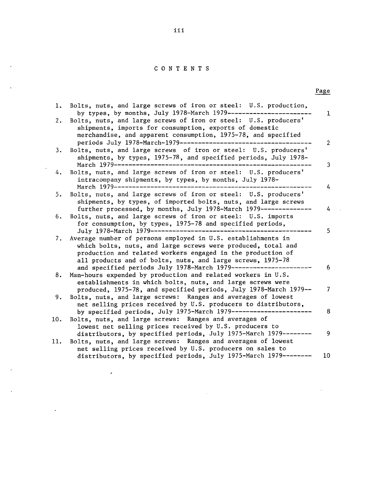### C 0 N T E N T S

Į.

 $\ddot{\phantom{0}}$ 

 $\overline{\phantom{a}}$ 

| 1.  | Bolts, nuts, and large screws of iron or steel: U.S. production,<br>by types, by months, July 1978-March 1979----------                                                                                                                                                                                                       |                             |
|-----|-------------------------------------------------------------------------------------------------------------------------------------------------------------------------------------------------------------------------------------------------------------------------------------------------------------------------------|-----------------------------|
| 2.  | Bolts, nuts, and large screws of iron or steel: U.S. producers'<br>shipments, imports for consumption, exports of domestic<br>merchandise, and apparent consumption, 1975-78, and specified<br>periods July 1978-March-1979-----------------------                                                                            | $\mathbf{1}$<br>$2^{\circ}$ |
| 3.  | Bolts, nuts, and large screws of iron or steel: U.S. producers'<br>shipments, by types, 1975-78, and specified periods, July 1978-<br>March 1979-------------                                                                                                                                                                 | $\mathbf{3}$                |
| 4.  | Bolts, nuts, and large screws of iron or steel: U.S. producers'<br>intracompany shipments, by types, by months, July 1978-<br>March 1979------------                                                                                                                                                                          | $\overline{4}$              |
| 5.  | Bolts, nuts, and large screws of iron or steel: U.S. producers'<br>shipments, by types, of imported bolts, nuts, and large screws<br>further processed, by months, July 1978-March 1979-------------                                                                                                                          | 4                           |
| 6.  | Bolts, nuts, and large screws of iron or steel: U.S. imports<br>for consumption, by types, 1975-78 and specified periods,<br>July 1978-March 1979-----------------                                                                                                                                                            | 5                           |
| 7.  | Average number of persons employed in U.S. establishments in<br>which bolts, nuts, and large screws were produced, total and<br>production and related workers engaged in the production of<br>all products and of bolts, nuts, and large screws, 1975-78<br>and specified periods July 1978-March 1979---------------------- | 6                           |
| 8.  | Man-hours expended by production and related workers in U.S.<br>establishments in which bolts, nuts, and large screws were<br>produced, 1975-78, and specified periods, July 1978-March 1979--                                                                                                                                | $\overline{7}$              |
| 9.  | Bolts, nuts, and large screws: Ranges and averages of lowest<br>net selling prices received by U.S. producers to distributors,<br>by specified periods, July 1975-March 1979----------------------                                                                                                                            | 8                           |
| 10. | Bolts, nuts, and large screws: Ranges and averages of<br>lowest net selling prices received by U.S. producers to<br>distributors, by specified periods, July 1975-March 1979--------                                                                                                                                          | 9                           |
| 11. | Bolts, nuts, and large screws: Ranges and averages of lowest<br>net selling prices received by U.S. producers on sales to<br>distributors, by specified periods, July 1975-March 1979--------                                                                                                                                 | 10 <sup>°</sup>             |
|     |                                                                                                                                                                                                                                                                                                                               |                             |

J.

### Page

 $\ddot{\phantom{a}}$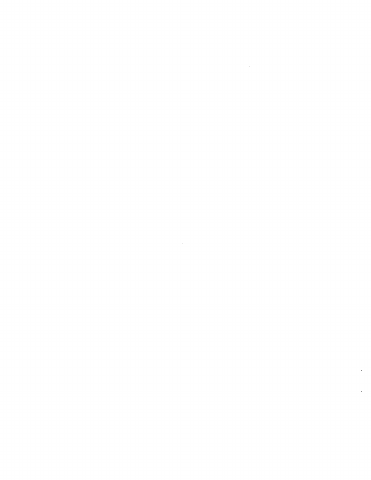$\label{eq:2.1} \frac{1}{\sqrt{2}}\int_{\mathbb{R}^3}\frac{1}{\sqrt{2}}\left(\frac{1}{\sqrt{2}}\right)^2\frac{1}{\sqrt{2}}\left(\frac{1}{\sqrt{2}}\right)^2\frac{1}{\sqrt{2}}\left(\frac{1}{\sqrt{2}}\right)^2\frac{1}{\sqrt{2}}\left(\frac{1}{\sqrt{2}}\right)^2\frac{1}{\sqrt{2}}\left(\frac{1}{\sqrt{2}}\right)^2\frac{1}{\sqrt{2}}\left(\frac{1}{\sqrt{2}}\right)^2\frac{1}{\sqrt{2}}\left(\frac{1}{\sqrt{2}}\right)^2\frac{1}{\sqrt{$ 

 $\label{eq:2.1} \frac{1}{\sqrt{2}}\left(\frac{1}{\sqrt{2}}\right)^{2} \left(\frac{1}{\sqrt{2}}\right)^{2} \left(\frac{1}{\sqrt{2}}\right)^{2} \left(\frac{1}{\sqrt{2}}\right)^{2} \left(\frac{1}{\sqrt{2}}\right)^{2} \left(\frac{1}{\sqrt{2}}\right)^{2} \left(\frac{1}{\sqrt{2}}\right)^{2} \left(\frac{1}{\sqrt{2}}\right)^{2} \left(\frac{1}{\sqrt{2}}\right)^{2} \left(\frac{1}{\sqrt{2}}\right)^{2} \left(\frac{1}{\sqrt{2}}\right)^{2} \left(\$ 

 $\sim 10^{-1}$ 

 $\sim 10^{-1}$ 

 $\label{eq:2.1} \frac{1}{\sqrt{2}}\int_{\mathbb{R}^3}\frac{1}{\sqrt{2}}\left(\frac{1}{\sqrt{2}}\right)^2\frac{1}{\sqrt{2}}\left(\frac{1}{\sqrt{2}}\right)^2\frac{1}{\sqrt{2}}\left(\frac{1}{\sqrt{2}}\right)^2\frac{1}{\sqrt{2}}\left(\frac{1}{\sqrt{2}}\right)^2.$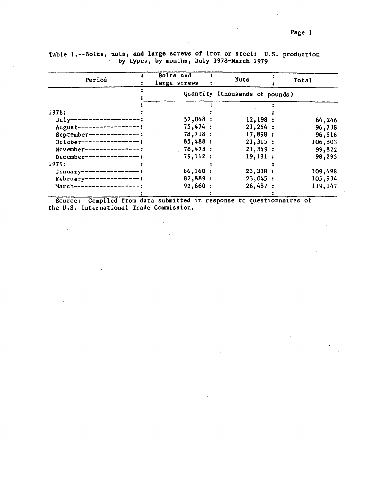| Period     | Bolts and<br>large screws | <b>Nuts</b>                    | Total   |
|------------|---------------------------|--------------------------------|---------|
|            |                           | Quantity (thousands of pounds) |         |
|            |                           |                                |         |
| 1978:      |                           |                                |         |
| $July---$  | 52,048:                   | 12,198:                        | 64,246  |
| August $-$ | 75,474:                   | 21,264:                        | 96,738  |
| September- | 78,718:                   | 17,898:                        | 96,616  |
| October-   | 85,488:                   | 21,315:                        | 106,803 |
| November-  | 78,473:                   | 21,349:                        | 99,822  |
| December-  | 79,112 :                  | 19,181:                        | 98,293  |
| 1979:      |                           |                                |         |
| January-   | 86,160:                   | 23,338:                        | 109,498 |
| February   | 82,889 :                  | 23,045:                        | 105,934 |
| March--    | 92,660:                   | 26,487:                        | 119,147 |
|            |                           |                                |         |

Table 1.--Bolts, nuts, and large screws of iron or steel: U.S. production by types, by months, July 1978-March 1979

Source: Compiled from data submitted in response to questionnaires of the U.S. International Trade Connnission.

 $\mathbf{r}$ 

 $\sqrt{2}$ 

l.

J.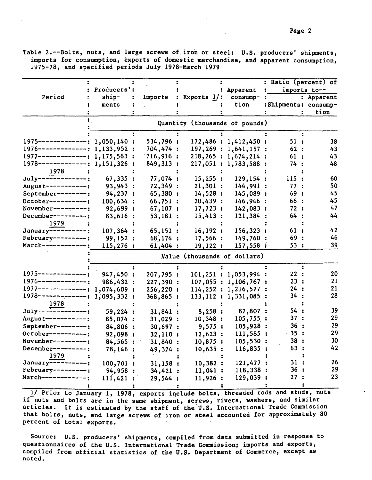Table 2.--Bolts, nuts, and large screws of iron or steel: U.S. producers' shipments, imports for consumption, exports of domestic merchandise, and apparent consumption, 1975-78, and specified periods July 1978-March 1979

|                                   |             |           |                                |                            | : Ratio (percent) of |            |
|-----------------------------------|-------------|-----------|--------------------------------|----------------------------|----------------------|------------|
|                                   | Producers'  |           |                                | Apparent                   | imports to--         |            |
| Period                            | ship-       | Imports   | : Exports $1/$ :               | consump-                   |                      | : Apparent |
|                                   | ments       |           |                                | tion                       | :Shipments: consump- |            |
|                                   |             |           |                                |                            | $\ddot{\phantom{a}}$ | tion       |
|                                   |             |           | Quantity (thousands of pounds) |                            |                      |            |
|                                   |             |           |                                |                            |                      |            |
| $1975$ --------------: 1,050,140: |             | 534,796 : |                                | 172,486:1,412,450:         | 51:                  | 38         |
| $1976$ -------------: 1,133,952 : |             | 704,474:  |                                | 197,269:1,641,157:         | 62:                  | 43         |
| $1977---------: 1,175,563$        |             | 716,916:  |                                | 218,265 : 1,674,214 :      | 61:                  | 43         |
| $1978$ --------------; 1,151,326  |             | 849,313:  |                                | 217,051 : 1,783,588 :      | 74 :                 | 48         |
| 1978                              |             |           |                                |                            |                      |            |
| $July-----$                       | 67,335:     | 77,074 :  | 15,255:                        | 129,154 :                  | 115:                 | 60         |
| August-----------:                | 93,943:     | 72,349:   | 21,301:                        | 144,991:                   | 77 :                 | 50         |
| September--------:                | 94,237:     | .65,380:  | 14,528:                        | 145,089:                   | 69:                  | 45         |
| October----------;                | 100,634:    | 66,751:   | 20,439:                        | 146,946:<br>$\sim 10^{-1}$ | 66 :                 | 45         |
| November---------:                | 92,699 :    | 67,107:   | 17,723:                        | 142,083:                   | 72 :                 | 47.        |
| December---------:                | 83,616 :    | 53,181:   | 15,413:                        | 121,384:                   | 64 :                 | 44         |
| 1979                              |             |           |                                |                            |                      |            |
| January----------:                | 107,364 :   | 65,151:   | 16, 192:                       | 156,323:                   | 61 :                 | 42         |
| February ---------:               | 99,152:     | 68,174:   | 17,566:                        | 149,760:                   | 69:                  | 46         |
| $March-----$                      | 115,276:    | 61,404:   | 19, 122:                       | 157,558:                   | 53:                  | 39         |
|                                   |             |           | Value (thousands of dollars)   |                            |                      |            |
|                                   |             |           |                                |                            |                      |            |
| 1975---------------               |             |           |                                |                            | $\ddot{\phantom{a}}$ | 20         |
|                                   | 947,450 :   | 207,795:  |                                | 101,251 : 1,053,994 :      | 22 :<br>23:          | 21         |
| $1976$ --------------             | 986,432 :   | 227,390 : |                                | $107,055$ : 1,106,767:     | 24:                  | 21         |
| $1977$ -------------;             | 1,074,609:  | 256,220:  |                                | 114, 252 : 1, 216, 577 :   |                      | 28         |
| $1978$ -------------:             | 1,095,332:  | 368,865:  |                                | 133, 112 : 1, 331, 085     | 34 :                 |            |
| 1978                              |             |           |                                |                            |                      |            |
| $July---------1$                  | 59,224:     | 31,841:   | 8,258:                         | 82,807 :                   | 54 :                 | 39         |
| August-----------:                | 85,074 :    | 31,029:   | 10,348:                        | 105,755:                   | 37:                  | 29         |
| September--------:                | $84,806$ :  | 30,697:   | 9,575:                         | 105,928:                   | 36 :                 | 29         |
| $October-----$                    | 92,098 :    | 32,110:   | 12,623:                        | 111,585:                   | $-35$ :              | 29         |
| November---------:                | 84,565 :    | 31,840:   | 10,875:                        | 105,530:                   | 38:                  | 30         |
| $December-----$                   | 78,146 :    | 49,324 :  | 10,635:                        | 116,835:                   | 63 :                 | 42         |
| 1979                              |             |           |                                |                            |                      |            |
| January-----                      | 100,701:    | 31,158:   | 10,382:                        | 121,477                    | 31:                  | 26         |
| $February-----$                   | 94,958      | 34,421:   | 11,041:                        | 118,338:                   | 36:                  | 29         |
| March-------------                | $111,421$ : | 29,544 :  | 11,926:                        | 129,039:                   | 27:                  | 23         |
|                                   |             |           |                                |                            |                      |            |

1/ Prior to January 1, 1978, exports include bolts, threaded rods and studs, nuts if nuts and bolts are in the same shipment, screws, rivets, washers, and similar articles. It is estimated by the staff of the U.S. International Trade Commission that bolts, nuts, and large screws of iron or steel accounted for approximately 80 percent of total exports.

Source: U.S. producers' shipments, compiled from data submitted in response to questionnaires of the U.S. International Trade Commission; imports and exports, compiled from official statistics of the U.S. Department of Commerce, except as noted.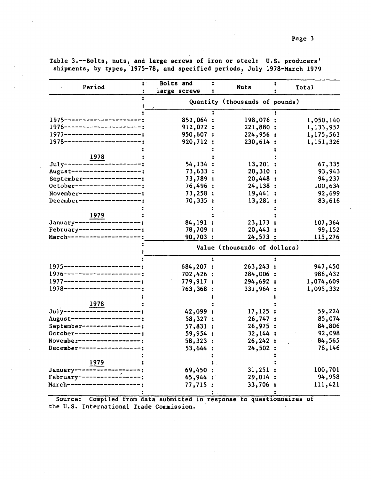|  | Table 3.--Bolts, nuts, and large screws of iron or steel: U.S. producers' |
|--|---------------------------------------------------------------------------|
|  | shipments, by types, 1975-78, and specified periods, July 1978-March 1979 |

| Period                    |                             | Bolts and<br>large screws | <b>Nuts</b>                      | Total                             |
|---------------------------|-----------------------------|---------------------------|----------------------------------|-----------------------------------|
|                           |                             |                           | Quantity (thousands of pounds)   |                                   |
|                           |                             |                           |                                  |                                   |
| 1975--------------------  |                             | 852,064 :                 | 198,076 :                        | 1,050,140                         |
| 1976--------------------- |                             | 912,072 :                 | 221,880 :                        | 1,133,952                         |
| 1977--------------------- |                             | 950,607 :                 | 224,956:                         | 1,175,563                         |
| 1978--------------------  |                             | 920,712 :                 | 230,614:                         | 1,151,326                         |
|                           |                             |                           |                                  |                                   |
|                           | 1978                        |                           |                                  |                                   |
| $July---$                 |                             | 54,134:                   | 13,201:                          | 67,335                            |
|                           | August--------------------; | 73,633:                   | 20,310:                          | 93,943                            |
|                           | September-----------------; | 73,789:                   | 20,448:                          | 94,237                            |
|                           | October-------------------; | 76,496 :                  | 24,138:                          | 100,634                           |
| November----------------- |                             | 73,258:                   | 19,441                           | 92,699<br>$\ddot{\phantom{a}}$    |
| December----------------  |                             | 70,335:                   | 13,281                           | 83,616                            |
|                           |                             |                           |                                  |                                   |
|                           | <u>1979</u>                 |                           |                                  |                                   |
| January-                  |                             | 84,191 :                  | 23,173:                          | 107,364                           |
| February----------------  |                             | 78,709:                   | 20,443:                          | 99,152                            |
| March------------------   |                             | 90,703:                   | 24,573:                          | 115,276                           |
|                           |                             |                           | Value (thousands of dollars)     |                                   |
|                           |                             |                           |                                  |                                   |
| 1975--------------------  |                             | 684,207                   | 263,243<br>:                     | 947,450<br>$\ddot{\cdot}$         |
| 1976-------------------   |                             | 702,426                   | 284,006                          | 986,432<br>$\ddot{\cdot}$         |
| 1977--------------------  |                             | 779,917                   | 294,692                          | 1,074,609<br>$\ddot{\phantom{a}}$ |
| 1978--------------------  |                             | 763,368                   | 331,964:                         | 1,095,332                         |
|                           |                             |                           |                                  |                                   |
|                           |                             |                           |                                  |                                   |
| $July---$                 |                             | 42,099                    | 17, 125:                         | 59,224                            |
|                           | August-------------------;  | 58,327:                   | 26,747:                          | 85,074                            |
|                           | September----------------;  | 57,831:                   | 26,975:                          | 84,806                            |
|                           | October-------------------: | 59,954 :                  | 32,144:                          | 92,098                            |
| November----------------  |                             | 58,323                    | 26, 242:<br>$\ddot{\phantom{a}}$ | 84,565                            |
|                           |                             | 53,644                    | 24,502 :                         | 78,146                            |
|                           |                             |                           |                                  |                                   |
|                           | 1979                        |                           |                                  |                                   |
| January---                |                             | 69,450:                   | 31,251:                          | 100,701                           |
| February-------------     |                             | 65,944:                   | 29,014:                          | 94,958                            |
| March--                   |                             | 77,715 :                  | 33,706:                          | 111,421                           |
|                           |                             |                           |                                  |                                   |

the U.S. International Trade Commission.

 $\bar{\mathcal{A}}$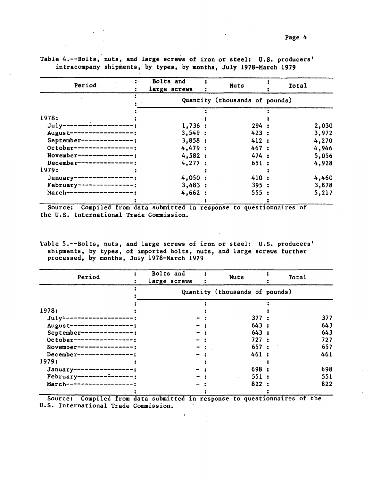| $2 -$<br>Period | Bolts and<br>large screws | <b>Nuts</b>                    | Total |       |
|-----------------|---------------------------|--------------------------------|-------|-------|
|                 |                           | Quantity (thousands of pounds) |       |       |
|                 |                           |                                |       |       |
| 1978:           |                           |                                |       |       |
| $July---$       | 1,736:                    | 294 :                          |       | 2,030 |
| August $-$      | 3,549:                    | 423 :                          |       | 3,972 |
| September-      | 3,858:                    | 412:                           |       | 4,270 |
| October-        | 4,479 :                   | 467:                           |       | 4,946 |
| November-       | 4,582:                    | 474 :                          |       | 5,056 |
| December-       | 4,277:                    | 651:                           |       | 4,928 |
| 1979:           |                           |                                |       |       |
| January-        | 4,050:                    | 410 :                          |       | 4,460 |
| February.       | 3,483:                    | 395:                           |       | 3,878 |
| March-          | 4,662:                    | 555:                           |       | 5,217 |
|                 |                           |                                |       |       |

Table 4.--Bolts, nuts, and large screws of iron or steel: U.S. producers' intracompany shipments, by types, by months, July 1978-March 1979

Source: Compiled from data submitted in response to questionnaires of the U.S. International Trade Commission.

Table 5.--Bolts, nuts, and large screws of iron or steel: U.S. producers' shipments, by types, of imported bolts, nuts, and large screws further processed, by months, July 1978-March 1979

| Period     | Bolts and<br>large screws | <b>Nuts</b>                    | Total |
|------------|---------------------------|--------------------------------|-------|
|            |                           | Quantity (thousands of pounds) |       |
|            |                           |                                |       |
| 1978:      |                           |                                |       |
| $July-$    |                           | 377:                           | 377   |
| August-    |                           | 643:                           | 643   |
| September- |                           | 643:                           | 643   |
| October-   |                           | 727                            | 727   |
| November-  |                           | 657:                           | 657   |
| December-  |                           | 461:                           | 461   |
| 1979:      |                           |                                |       |
| January-   |                           | 698                            | 698   |
| February-  |                           | 551:                           | 551   |
| March-     |                           | 822:                           | 822   |
|            |                           |                                |       |

Source: Compiled from data submitted in response to questionnaires of the U.S. International Trade Commission.

 $\Lambda$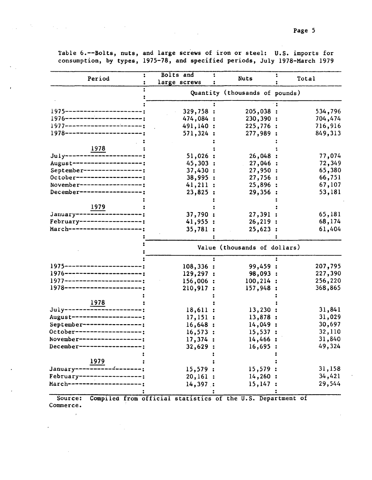| Period                         | Bolts and                      | <b>Nuts</b>                    | Total   |  |  |  |  |
|--------------------------------|--------------------------------|--------------------------------|---------|--|--|--|--|
|                                | large screws                   |                                |         |  |  |  |  |
|                                |                                | Quantity (thousands of pounds) |         |  |  |  |  |
|                                |                                |                                |         |  |  |  |  |
| 1975----------------------     | 329,758 :                      | 205,038:                       | 534,796 |  |  |  |  |
| 1976-----------------------    | 474,084 :                      | 230,390:                       | 704,474 |  |  |  |  |
| 1977-----------------------    | 491,140 :                      | 225,776:                       | 716,916 |  |  |  |  |
| 1978-------------------        | 571,324 :                      | 277,989                        | 849,313 |  |  |  |  |
|                                |                                |                                |         |  |  |  |  |
| $\frac{1978}{---}$             |                                |                                |         |  |  |  |  |
| $July------$                   | 51,026:                        | 26,048                         | 77,074  |  |  |  |  |
| August--------------------;    | 45,303:                        | 27,046                         | 72,349  |  |  |  |  |
| September-----------------;    | 37,430:                        | 27,950:                        | 65,380  |  |  |  |  |
| October-------------------:    | 38,995<br>$\ddot{\phantom{a}}$ | 27,756:                        | 66,751  |  |  |  |  |
| November--------------------   | 41,211                         | 25,896                         | 67,107  |  |  |  |  |
| December-----------------      | 23,825:                        | 29,356:                        | 53,181  |  |  |  |  |
|                                |                                |                                |         |  |  |  |  |
|                                |                                |                                |         |  |  |  |  |
| $\frac{1979}{---}$<br>January- | 37,790:                        | 27,391:                        | 65,181  |  |  |  |  |
| February---------------        | 41,955:                        | 26,219:                        | 68,174  |  |  |  |  |
| March-------------------       | 35,781:                        | 25,623:                        | 61,404  |  |  |  |  |
|                                |                                |                                |         |  |  |  |  |
|                                |                                | Value (thousands of dollars)   |         |  |  |  |  |
|                                |                                |                                |         |  |  |  |  |
| 1975-----------------------    | 108,336:                       | 99,459 :                       | 207,795 |  |  |  |  |
| 1976--------------------       | 129,297 :                      | 98,093 :                       | 227,390 |  |  |  |  |
| 1977----------------------     | 156,006 :                      | $100, 214$ :                   | 256,220 |  |  |  |  |
| 1978--------------------       | 210,917:                       | 157,948 :                      | 368,865 |  |  |  |  |
|                                |                                |                                |         |  |  |  |  |
| $\frac{1978}{1222}$            |                                |                                |         |  |  |  |  |
| July--------                   | 18,611:                        | 13,230:                        | 31,841  |  |  |  |  |
| August------------------       | 17,151:                        | 13,878:                        | 31,029  |  |  |  |  |
| September--------------        | 16,648:                        | 14,049:                        | 30,697  |  |  |  |  |
| October----------------        | 16,573:                        | 15,537:                        | 32,110  |  |  |  |  |
| November--------------         | 17,374 :                       | 14,466:                        | 31,840  |  |  |  |  |
| December--                     | 32,629:                        | 16,695:                        | 49,324  |  |  |  |  |
|                                |                                |                                |         |  |  |  |  |
| 1979                           |                                |                                |         |  |  |  |  |
| January-                       | 15,579:                        | 15,579:                        | 31,158  |  |  |  |  |
| February-                      | 20,161:                        | 14,260                         | 34,421  |  |  |  |  |
| March-                         | 14,397:                        | 15,147:                        | 29,544  |  |  |  |  |
|                                |                                |                                |         |  |  |  |  |

Table 6.--Bolts, nuts, and large screws of iron or steel: U.S. imports for consumption, by types, 1975-78, and specified periods, July 1978-March 1979

 $\mathbb{R}^2$ 

 $\mathbb{Z}$ 

 $\label{eq:2.1} \frac{1}{2}\int_{\mathbb{R}^3} \frac{1}{\sqrt{2\pi}}\left(\frac{1}{\sqrt{2\pi}}\right)^2 \frac{1}{\sqrt{2\pi}}\int_{\mathbb{R}^3} \frac{1}{\sqrt{2\pi}}\left(\frac{1}{\sqrt{2\pi}}\right)^2 \frac{1}{\sqrt{2\pi}}\int_{\mathbb{R}^3} \frac{1}{\sqrt{2\pi}}\left(\frac{1}{\sqrt{2\pi}}\right)^2 \frac{1}{\sqrt{2\pi}}\int_{\mathbb{R}^3} \frac{1}{\sqrt{2\pi}}\frac{1}{\sqrt{2\pi}}\frac{1}{\sqrt$ 

 $\hat{f}$  and  $\hat{f}$ 

 $\cdot$ 

Commerce.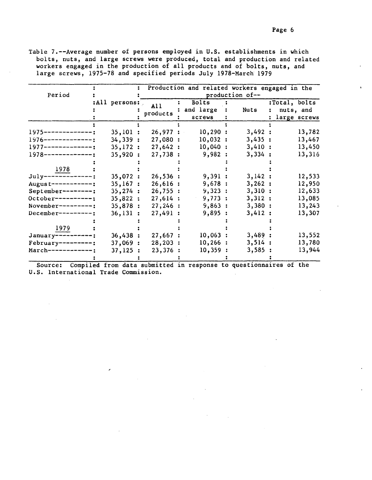Table 7.--Average number of persons employed in U.S. establishments in which bolts, nuts, and large screws were produced, total and production and related workers engaged in the production of all products and of bolts, nuts, and large screws, 1975-78 and specified periods July 1978-March 1979

| Period                 |               |          |              | Production and related workers engaged in the<br>production of-- |               |        |
|------------------------|---------------|----------|--------------|------------------------------------------------------------------|---------------|--------|
|                        | :All persons: | A11      | <b>Bolts</b> |                                                                  | :Total, bolts |        |
|                        |               | products | and large :  | <b>Nuts</b>                                                      | nuts, and     |        |
|                        |               |          | screws       |                                                                  | large screws  |        |
|                        |               |          |              |                                                                  |               |        |
| $1975$ --------------: | 35,101:       | 26,977:  | 10,290:      | 3,492:                                                           |               | 13,782 |
| $1976$ --------------: | 34,339:       | 27,080:  | 10,032:      | 3,435:                                                           |               | 13,467 |
| $1977$ -------------   | 35,172:       | 27,642:  | 10,040:      | 3,410:                                                           |               | 13,450 |
| $1978$ --------------: | 35,920:       | 27,738:  | 9,982:       | 3,334:                                                           |               | 13,316 |
|                        |               |          |              |                                                                  |               |        |
|                        |               |          |              |                                                                  |               |        |
| $July----------$       | 35,072:       | 26,536:  | 9,391:       | 3,142:                                                           |               | 12,533 |
| Augus t------------:   | 35,167:       | 26,616:  | 9,678:       | 3,262:                                                           |               | 12,950 |
| September--------:     | 35,274:       | 26,755:  | 9,323:       | 3,310:                                                           |               | 12,633 |
| $October-----$ :       | 35,822:       | 27,614:  | 9,773:       | 3,312:                                                           |               | 13,085 |
| November---------:     | 35,878:       | 27,246:  | 9,863:       | 3,380:                                                           |               | 13,243 |
| $December-----$        | 36,131:       | 27,491:  | 9,895:       | 3,412:                                                           |               | 13,307 |
|                        |               |          |              |                                                                  |               |        |
| 1979                   |               |          |              |                                                                  |               |        |
| $January-----$         | 36,438:       | 27,667:  | 10,063:      | 3,489:                                                           |               | 13,552 |
| $February-----$        | 37,069:       | 28,203:  | 10,266:      | 3,514:                                                           |               | 13,780 |
| $March-----$           | 37,125:       | 23,376:  | 10,359:      | 3,585:                                                           |               | 13,944 |
|                        |               |          |              |                                                                  |               |        |

Source: Compiled from data submitted in response to questionnaires of the U.S. International Trade Commission.

 $\overline{\phantom{a}}$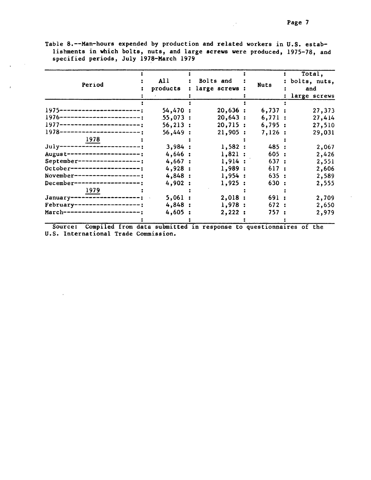$\mathcal{L}(\mathcal{F})$  and  $\mathcal{L}(\mathcal{F})$ 

Table 8.--Man-hours expended by production and related workers in U.S. establishments in which bolts, nuts, and large screws were produced, 1975-78, and specified periods, July 1978-March 1979

| Period                           | A11<br>products | Bolts and<br>large screws : | <b>Nuts</b> | Total,<br>: bolts, nuts,<br>and<br>large screws |
|----------------------------------|-----------------|-----------------------------|-------------|-------------------------------------------------|
|                                  |                 |                             |             |                                                 |
| 1975------------------------:    | 54,470:         | 20,636:                     | 6,737:      | 27,373                                          |
| 1976------------------------;    | .55,073:        | 20,643:                     | 6,771:      | 27,414                                          |
| 1977-------------------------    | 56, 213:        | 20,715:                     | 6,795:      | 27,510                                          |
| 1978-------------------------    | 56,449:         | 21,905:                     | 7,126:      | 29,031                                          |
| 1978                             |                 |                             |             |                                                 |
| July-----------------------;     | 3,984:          | 1,582:                      | 485 :       | 2,067                                           |
| Augus t---------------------;    | 4,646:          | 1,821:                      | 605:        | 2,426                                           |
| September-----------------;      | 4,667:          | 1,914:                      | 637:        | 2,551                                           |
| 0ctober-------------------;      | 4,928:          | 1,989:                      | 617:        | 2,606                                           |
| November-------------------;     | 4,848:          | 1,954:                      | 635:        | 2,589                                           |
| December-<br>-------------!      | 4,902:          | 1,925:                      | 630:        | 2,555                                           |
| 1979                             |                 |                             |             |                                                 |
| January-                         | 5,061:          | 2,018:                      | 691 :       | 2,709                                           |
| February-----<br>--------------- | 4,848:          | 1,978:                      | 672:        | 2,650                                           |
| March-<br>------------------     | 4,605:          | 2,222:                      | 757 :       | 2,979                                           |
|                                  |                 |                             |             |                                                 |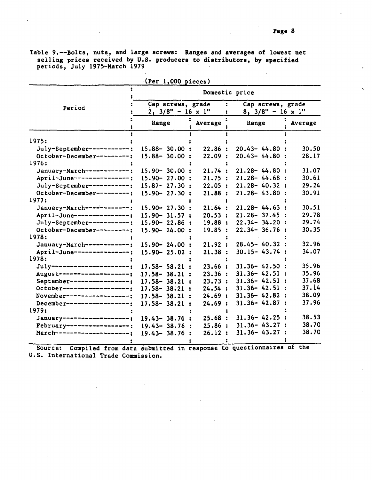Table 9.--Bolts, nuts, and large screws: Ranges and averages of lowest net selling prices received by U.S. producers to distributors, by specified periods, July 1975-March 1979

|                              | Domestic price                                |         |                                                                       |         |  |  |  |  |
|------------------------------|-----------------------------------------------|---------|-----------------------------------------------------------------------|---------|--|--|--|--|
| Period                       | Cap screws, grade<br>$2, 3/8" - 16 \times 1"$ |         | Cap screws, grade<br>$\ddot{\phantom{a}}$<br>$8, 3/8" - 16 \times 1"$ |         |  |  |  |  |
|                              | Range                                         | Average | Range                                                                 | Average |  |  |  |  |
|                              |                                               |         |                                                                       |         |  |  |  |  |
| 1975:                        |                                               |         |                                                                       |         |  |  |  |  |
| July-September-----------:   | $15.88 - 30.00$ :                             | 22.86:  | $20.43 - 44.80:$                                                      | 30.50   |  |  |  |  |
| October-December---------;   | $15.88 - 30.00$ :                             | 22.09:  | $20.43 - 44.80:$                                                      | 28.17   |  |  |  |  |
| 1976:                        |                                               |         |                                                                       |         |  |  |  |  |
| January-March -------------: | $15.90 - 30.00$ :                             | 21.74:  | $21.28 - 44.80$ :                                                     | 31.07   |  |  |  |  |
| April-June----------------;  | $15.90 - 27.00$ :                             | 21.75:  | $21.28 - 44.68$ :                                                     | 30.61   |  |  |  |  |
| July-September-----------:   | $15.87 - 27.30:$                              | 22.05:  | $21.28 - 40.32$ :                                                     | 29.24   |  |  |  |  |
| October-December---------;   | $15.90 - 27.30$ :                             | 21.88:  | $21.28 - 43.80:$                                                      | 30.91   |  |  |  |  |
| 1977:                        |                                               |         |                                                                       |         |  |  |  |  |
| January-March-------------;  | $15.90 - 27.30$ :                             | 21.64:  | $21.28 - 44.63$ :                                                     | 30.51   |  |  |  |  |
| April-June---------------;   | $15.90 - 31.57$ :                             | 20.53:  | $21.28 - 37.45$ :                                                     | 29.78   |  |  |  |  |
| July-September-----------;   | $15.90 - 22.86$ :                             | 19.88:  | $22.34 - 34.20$ :                                                     | 29.74   |  |  |  |  |
| October-December---------:   | $15.90 - 24.00$ :                             | 19.85:  | $22.34 - 36.76:$                                                      | 30.35   |  |  |  |  |
| 1978:                        |                                               |         |                                                                       |         |  |  |  |  |
| January-March-------------:  | $15.90 - 24.00$ :                             | 21.92:  | $28.45 - 40.32:$                                                      | 32.96   |  |  |  |  |
| April-June ---------------   | $15.90 - 25.02$ :                             | 21.38:  | $30.15 - 43.74$ :                                                     | 34.07   |  |  |  |  |
| 1978:                        |                                               |         |                                                                       |         |  |  |  |  |
| July----------------------;  | $17.58 - 58.21$ :                             | 23.66:  | $31.36 - 42.50$ :                                                     | 35.96   |  |  |  |  |
| Augus t--------------------; | $.17.58 - 38.21$ :                            | 23.36:  | $31.36 - 42.51$ :                                                     | 35.96   |  |  |  |  |
| September-----------------;  | $17.58 - 38.21$ :                             | 23.73:  | $31.36 - 42.51$ :                                                     | 37.68   |  |  |  |  |
| October-------------------;  | $17.58 - 38.21$ :                             | 24.54:  | $31.36 - 42.51$ :                                                     | 37.14   |  |  |  |  |
| November------------------:  | $17.58 - 38.21$ :                             | 24.69:  | $31.36 - 42.82:$                                                      | 38.09   |  |  |  |  |
| December-----------------;   | $17.58 - 38.21$ :                             | 24.69:  | $31.36 - 42.87$ :                                                     | 37.96   |  |  |  |  |
| 1979:                        |                                               |         |                                                                       |         |  |  |  |  |
| January--------------------  | $19.43 - 38.76$ :                             | 25.68:  | $31.36 - 42.25$ :                                                     | 38.53   |  |  |  |  |
| February------------------;  | $19.43 - 38.76$ :                             | 25.86:  | $31.36 - 43.27$ :                                                     | 38.70   |  |  |  |  |
| March----------------------  | $19.43 - 38.76$ :                             | 26.12:  | $31.36 - 43.27:$                                                      | 38.70   |  |  |  |  |
|                              |                                               |         |                                                                       |         |  |  |  |  |

(Per 1,000 pieces)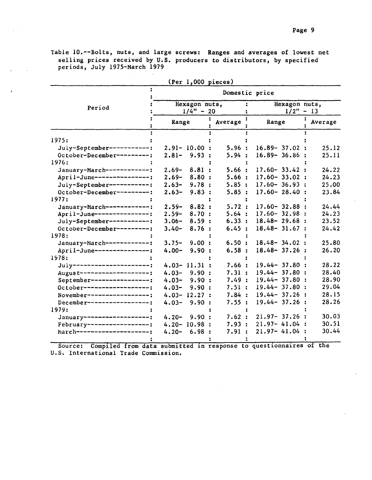Table 10.--Bolts, nuts, and large screws: Ranges and averages of lowest net selling prices received by U.S. producers to distributors, by specified periods, July 1975-March 1979

|                              |                   |         | Domestic price    |         |  |
|------------------------------|-------------------|---------|-------------------|---------|--|
| Period                       | Hexagon nuts,     |         | Hexagon nuts,     |         |  |
|                              | $1/4" - 20$       |         | $1/2" - 13$       |         |  |
|                              | Range             | Average | Range             | Average |  |
|                              |                   |         |                   |         |  |
| 1975:                        |                   |         |                   |         |  |
| July-September-----------:   | $2.91 - 10.00$ :  | 5.96:   | $16.89 - 37.02$ : | 25.12   |  |
| October-December--------     | $2.81 -$<br>9.93: | 5.94:   | $16.89 - 36.86$ : | 25.11   |  |
| 1976:                        |                   |         |                   |         |  |
| January-March------------:   | 8.81:<br>$2.69 -$ | 5.66:   | $17.60 - 33.42$ : | 24.22   |  |
| April-June----------------:  | $2.69 -$<br>8.80: | 5.66:   | $17.60 - 33.02$ : | 24.23   |  |
| July-September-----------;   | $2.63-$<br>9.78:  | 5.85:   | $17.60 - 36.93$ : | 25.00   |  |
| October-December---------:   | $2.63-$<br>9.83 : | 5.85:   | $17.60 - 28.40:$  | 23.84   |  |
| 1977:                        |                   |         |                   |         |  |
| January-March------------:   | 8.82:<br>$2.59 -$ | 5.72:   | $17.60 - 32.88$ : | 24.44   |  |
| April-June---------------:   | $2.59 -$<br>8.70: | 5.64 :  | $17.60 - 32.98$ : | 24.23   |  |
| July-September-----------:   | $3.06 -$<br>8.59: | 6.33:   | $18.48 - 29.68$ : | 23.52   |  |
| October-December---------:   | $3.40 -$<br>8.76: | 6.45:   | $18.48 - 31.67:$  | 24.42   |  |
| 1978:                        |                   |         |                   |         |  |
| January-March -------------: | 9.00:<br>$3.75 -$ | 6.50:   | $18.48 - 34.02$ : | 25.80   |  |
| April-June---------------:   | $4.00 -$<br>9.90: | 6.58:   | $18.48 - 37.26$ : | 26.20   |  |
| 1978:                        |                   |         |                   |         |  |
| July-----------------------; | $4.03 - 11.31$ :  | 7.66:   | $19.44 - 37.80:$  | 28.22   |  |
| Augus t--------------------; | 9.90:<br>$4.03 -$ | 7.31:   | $19.44 - 37.80$ : | 28.40   |  |
| September----------------:   | 9.90:<br>$4.03 -$ | 7.49:   | $19.44 - 37.80$ : | 28.90   |  |
| October--------------------  | 9.90:<br>$4.03 -$ | 7.51:   | $19.44 - 37.80:$  | 29.04   |  |
| November------------------   | $4.03 - 12.27:$   | 7.84:   | $19.44 - 37.26$ : | 28.15   |  |
| December-------------------  | $4.03 -$<br>9.90: | 7.55:   | $19.44 - 37.26$ : | 28.26   |  |
| 1979:                        |                   |         |                   |         |  |
| January-------------------:  | 9.90:<br>$4.20 -$ | 7.62:   | $21.97 - 37.26$ : | 30.03   |  |
| February------------------:  | 4.20-10.98 :      | 7.93:   | $21.97 - 41.04$ : | 30.51   |  |
| March---------------------   | $4.20 -$<br>6.98: | 7.91:   | $21.97 - 41.04$ : | 30.44   |  |
|                              |                   |         |                   |         |  |

 $(Per 1,000 pieces)$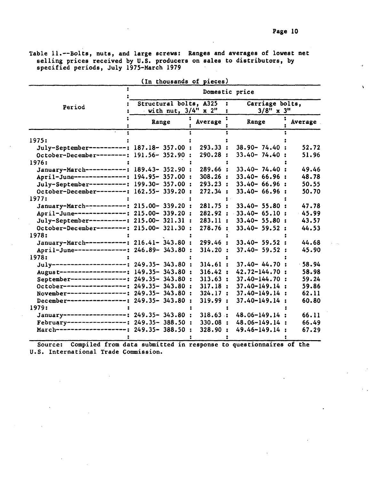Table 11.--Bolts, nuts, and large screws: Ranges and averages of lowest net selling prices received by U.S. producers on sales to distributors, by specified periods, July 1975-March 1979

| Period                                      | Domestic price                                   |          |                                |          |
|---------------------------------------------|--------------------------------------------------|----------|--------------------------------|----------|
|                                             | Structural bolts, A325<br>with nut, $3/4$ " x 2" |          | Carriage bolts,<br>$3/8"$ x 3" |          |
|                                             | Range                                            | Average  | Range                          | Average  |
|                                             |                                                  |          |                                |          |
| 1975:                                       |                                                  |          |                                |          |
| July-September----------: 187.18- 357.00 :  |                                                  | 293.33:  | $38.90 - 74.40$ :              | 52.72    |
| October-December--------:                   | 191.56-352.90:                                   | 290.28 : | $33.40 - 74.40:$               | 51.96    |
| 1976:                                       |                                                  |          |                                |          |
| January-March-----------: 189.43- 352.90 :  |                                                  | 289.66:  | $33.40 - 74.40:$               | 49.46    |
| April-June--------------:                   | $194.95 - 357.00:$                               | 308.26:  | $33.40 - 66.96:$               | 48.78    |
| July-September----------:                   | $199.30 - 357.00$ :                              | 293.23:  | $33.40 - 66.96:$               | 50.55    |
| October-December--------:                   | $162.55 - 339.20:$                               | 272.34:  | $33.40 - 66.96:$               | 50.70    |
| 1977:                                       |                                                  |          |                                |          |
| January-March------------:                  | $215.00 - 339.20$ :                              | 281.75:  | $33.40 - 55.80:$               | 47.78    |
| April-June---------------;                  | $215.00 - 339.20$ :                              | 282.92 : | $33.40 - 65.10$ :              | $-45.99$ |
| July-September----------:                   | $215.00 - 321.31$ :                              | 283.11 : | $33.40 - 55.80:$               | 43.57    |
| October-December--------:                   | $215.00 - 321.30$                                | 278.76 : | $33.40 - 59.52$ :              | 44.53    |
| 1978:                                       |                                                  |          |                                |          |
| January-March-----------: 216.41- 343.80 :  |                                                  | 299.46:  | $33.40 - 59.52$ :              | 44.68    |
| April-June--------------;                   | $246.89 - 343.80:$                               | 314.20:  | $37.40 - 59.52$ :              | 45.90    |
| 1978:                                       |                                                  |          |                                |          |
| July----------------------                  | $249.35 - 343.80:$                               | 314.61:  | $37.40 - 44.70$ :              | $-58.94$ |
| August-------------------: 149.35- 343.80 : |                                                  | 316.42:  | $42.72 - 144.70:$              | 58.98    |
| September----------------;                  | $249.35 - 343.80:$                               | 313.63:  | $37.40 - 144.70:$              | 59.24    |
| October-----------------                    | $249.35 - 343.80$                                | 317.18:  | $37.40 - 149.14$ :             | 59.86    |
| November-----------------:                  | $249.35 - 343.80$                                | 324.17:  | $37.40 - 149.14$ :             | 62.11    |
| December----------------:                   | $249.35 - 343.80:$                               | 319.99:  | $37.40 - 149.14$ :             | 60.80    |
| 1979:                                       |                                                  |          |                                |          |
| January--                                   | $249.35 - 343.80$ :                              | 318.63:  | 48.06-149.14 :                 | 66.11    |
| February-----------------:                  | $249.35 - 388.50$ :                              | 330.08 : | 48.06-149.14 :                 | 66.49    |
| March--------------------                   | $249.35 - 388.50$                                | 328.90 : | $49.46 - 149.14$ :             | 67.29    |
|                                             |                                                  |          |                                |          |

(In thousands of pieces)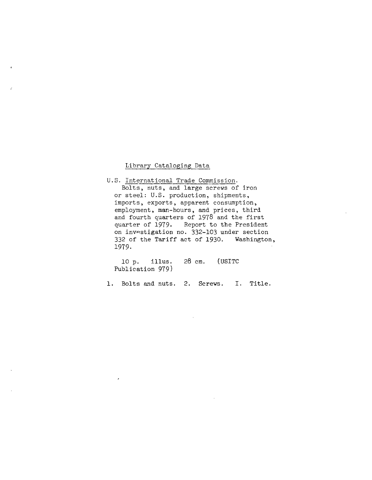Library Cataloging Data

U.S. International Trade Commission. Bolts, nuts, and large screws of iron or steel: U.S. production, shipments, imports, exports, apparent consumption, employment, man-hours, and prices, third and fourth quarters of 1978 and the first<br>quarter of 1979. Report to the President Report to the President on investigation no. 332-103 under section<br>332 of the Tariff act of 1930. Washington, 332 of the Tariff act of 1930. 1979.

10 p. illus. 28 cm. (USITC Publication 979)

1. Bolts and nuts. 2. Screws. I. Title.